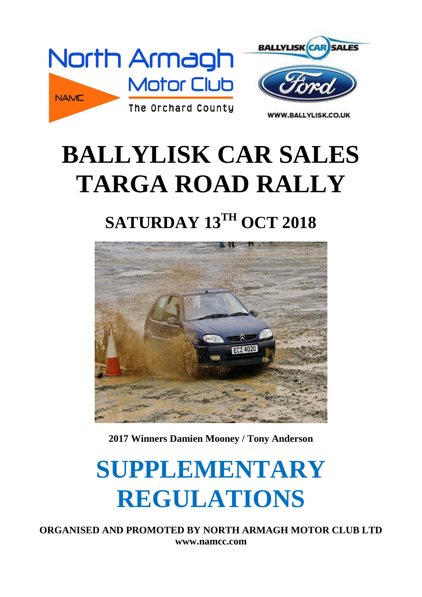

# **BALLYLISK CAR SALES TARGA ROAD RALLY**

### **SATURDAY 13TH OCT 2018**



**2017 Winners Damien Mooney / Tony Anderson**

# **SUPPLEMENTARY REGULATIONS**

**ORGANISED AND PROMOTED BY NORTH ARMAGH MOTOR CLUB LTD www.namcc.com**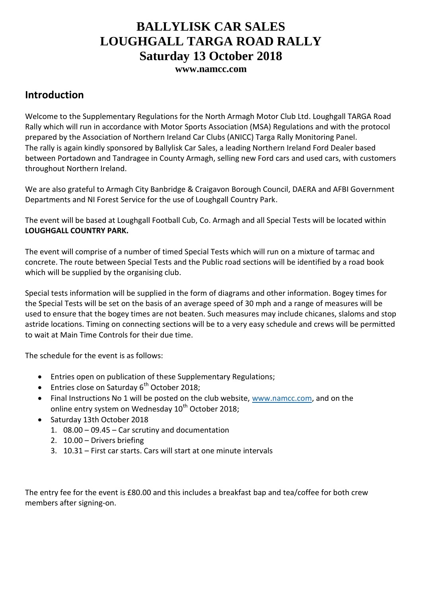#### **BALLYLISK CAR SALES LOUGHGALL TARGA ROAD RALLY Saturday 13 October 2018**

**www.namcc.com**

#### **Introduction**

Welcome to the Supplementary Regulations for the North Armagh Motor Club Ltd. Loughgall TARGA Road Rally which will run in accordance with Motor Sports Association (MSA) Regulations and with the protocol prepared by the Association of Northern Ireland Car Clubs (ANICC) Targa Rally Monitoring Panel. The rally is again kindly sponsored by Ballylisk Car Sales, a leading Northern Ireland Ford Dealer based between Portadown and Tandragee in County Armagh, selling new Ford cars and used cars, with customers throughout Northern Ireland.

We are also grateful to Armagh City Banbridge & Craigavon Borough Council, DAERA and AFBI Government Departments and NI Forest Service for the use of Loughgall Country Park.

The event will be based at Loughgall Football Cub, Co. Armagh and all Special Tests will be located within **LOUGHGALL COUNTRY PARK.**

The event will comprise of a number of timed Special Tests which will run on a mixture of tarmac and concrete. The route between Special Tests and the Public road sections will be identified by a road book which will be supplied by the organising club.

Special tests information will be supplied in the form of diagrams and other information. Bogey times for the Special Tests will be set on the basis of an average speed of 30 mph and a range of measures will be used to ensure that the bogey times are not beaten. Such measures may include chicanes, slaloms and stop astride locations. Timing on connecting sections will be to a very easy schedule and crews will be permitted to wait at Main Time Controls for their due time.

The schedule for the event is as follows:

- Entries open on publication of these Supplementary Regulations;
- **Entries close on Saturday 6<sup>th</sup> October 2018;**
- Final Instructions No 1 will be posted on the club website, [www.namcc.com,](http://www.namcc.com/) and on the online entry system on Wednesday 10<sup>th</sup> October 2018;
- Saturday 13th October 2018
	- 1. 08.00 09.45 Car scrutiny and documentation
	- 2. 10.00 Drivers briefing
	- 3. 10.31 First car starts. Cars will start at one minute intervals

The entry fee for the event is £80.00 and this includes a breakfast bap and tea/coffee for both crew members after signing-on.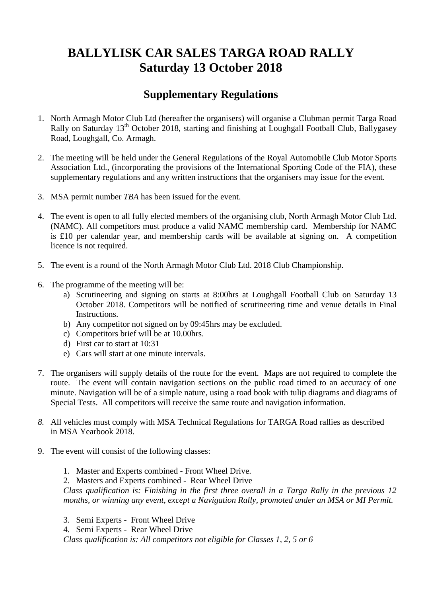### **BALLYLISK CAR SALES TARGA ROAD RALLY Saturday 13 October 2018**

#### **Supplementary Regulations**

- 1. North Armagh Motor Club Ltd (hereafter the organisers) will organise a Clubman permit Targa Road Rally on Saturday 13<sup>th</sup> October 2018, starting and finishing at Loughgall Football Club, Ballygasey Road, Loughgall, Co. Armagh.
- 2. The meeting will be held under the General Regulations of the Royal Automobile Club Motor Sports Association Ltd., (incorporating the provisions of the International Sporting Code of the FIA), these supplementary regulations and any written instructions that the organisers may issue for the event.
- 3. MSA permit number *TBA* has been issued for the event.
- 4. The event is open to all fully elected members of the organising club, North Armagh Motor Club Ltd. (NAMC). All competitors must produce a valid NAMC membership card. Membership for NAMC is £10 per calendar year, and membership cards will be available at signing on. A competition licence is not required.
- 5. The event is a round of the North Armagh Motor Club Ltd. 2018 Club Championship.
- 6. The programme of the meeting will be:
	- a) Scrutineering and signing on starts at 8:00hrs at Loughgall Football Club on Saturday 13 October 2018. Competitors will be notified of scrutineering time and venue details in Final Instructions.
	- b) Any competitor not signed on by 09:45hrs may be excluded.
	- c) Competitors brief will be at 10.00hrs.
	- d) First car to start at 10:31
	- e) Cars will start at one minute intervals.
- 7. The organisers will supply details of the route for the event. Maps are not required to complete the route. The event will contain navigation sections on the public road timed to an accuracy of one minute. Navigation will be of a simple nature, using a road book with tulip diagrams and diagrams of Special Tests. All competitors will receive the same route and navigation information.
- *8.* All vehicles must comply with MSA Technical Regulations for TARGA Road rallies as described in MSA Yearbook 2018.
- 9. The event will consist of the following classes:
	- 1. Master and Experts combined Front Wheel Drive.
	- 2. Masters and Experts combined Rear Wheel Drive

*Class qualification is: Finishing in the first three overall in a Targa Rally in the previous 12 months, or winning any event, except a Navigation Rally, promoted under an MSA or MI Permit.*

- 3. Semi Experts Front Wheel Drive
- 4. Semi Experts Rear Wheel Drive

 *Class qualification is: All competitors not eligible for Classes 1, 2, 5 or 6*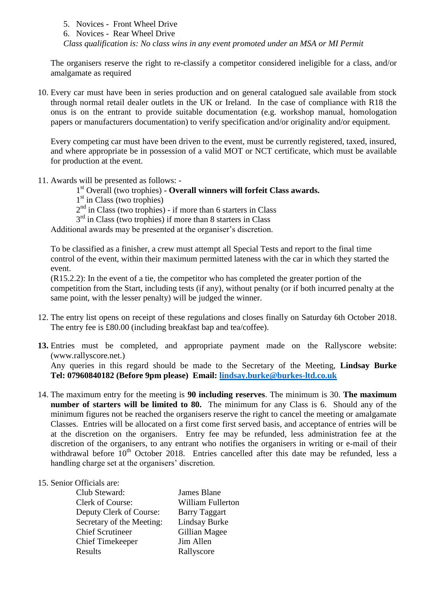5. Novices - Front Wheel Drive

6. Novices - Rear Wheel Drive

*Class qualification is: No class wins in any event promoted under an MSA or MI Permit*

The organisers reserve the right to re-classify a competitor considered ineligible for a class, and/or amalgamate as required

10. Every car must have been in series production and on general catalogued sale available from stock through normal retail dealer outlets in the UK or Ireland. In the case of compliance with R18 the onus is on the entrant to provide suitable documentation (e.g. workshop manual, homologation papers or manufacturers documentation) to verify specification and/or originality and/or equipment.

Every competing car must have been driven to the event, must be currently registered, taxed, insured, and where appropriate be in possession of a valid MOT or NCT certificate, which must be available for production at the event.

- 11. Awards will be presented as follows:
	- 1 st Overall (two trophies) **Overall winners will forfeit Class awards.**
	- 1<sup>st</sup> in Class (two trophies)

 $2<sup>nd</sup>$  in Class (two trophies) - if more than 6 starters in Class

3<sup>rd</sup> in Class (two trophies) if more than 8 starters in Class

Additional awards may be presented at the organiser's discretion.

To be classified as a finisher, a crew must attempt all Special Tests and report to the final time control of the event, within their maximum permitted lateness with the car in which they started the event.

(R15.2.2): In the event of a tie, the competitor who has completed the greater portion of the competition from the Start, including tests (if any), without penalty (or if both incurred penalty at the same point, with the lesser penalty) will be judged the winner.

- 12. The entry list opens on receipt of these regulations and closes finally on Saturday 6th October 2018. The entry fee is £80.00 (including breakfast bap and tea/coffee).
- **13.** Entries must be completed, and appropriate payment made on the Rallyscore website: (www.rallyscore.net.) Any queries in this regard should be made to the Secretary of the Meeting, **Lindsay Burke Tel: 07960840182 (Before 9pm please) Email: [lindsay.burke@burkes-ltd.co.uk](mailto:lindsay.burke@burkes-ltd.co.uk)**
- 14. The maximum entry for the meeting is **90 including reserves**. The minimum is 30. **The maximum number of starters will be limited to 80.** The minimum for any Class is 6. Should any of the minimum figures not be reached the organisers reserve the right to cancel the meeting or amalgamate Classes. Entries will be allocated on a first come first served basis, and acceptance of entries will be at the discretion on the organisers. Entry fee may be refunded, less administration fee at the discretion of the organisers, to any entrant who notifies the organisers in writing or e-mail of their withdrawal before 10<sup>th</sup> October 2018. Entries cancelled after this date may be refunded, less a handling charge set at the organisers' discretion.

#### 15. Senior Officials are:

| Club Steward:             | James Blane              |
|---------------------------|--------------------------|
| <b>Clerk of Course:</b>   | <b>William Fullerton</b> |
| Deputy Clerk of Course:   | <b>Barry Taggart</b>     |
| Secretary of the Meeting: | Lindsay Burke            |
| <b>Chief Scrutineer</b>   | Gillian Magee            |
| <b>Chief Timekeeper</b>   | Jim Allen                |
| Results                   | Rallyscore               |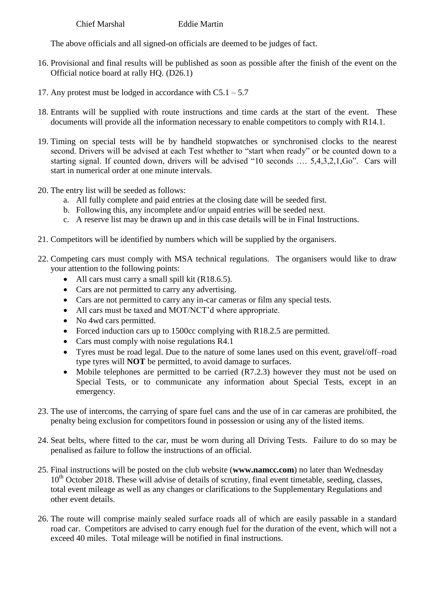Chief Marshal Eddie Martin

The above officials and all signed-on officials are deemed to be judges of fact.

- 16. Provisional and final results will be published as soon as possible after the finish of the event on the Official notice board at rally HQ. (D26.1)
- 17. Any protest must be lodged in accordance with  $C_5$ .  $1 5.7$
- 18. Entrants will be supplied with route instructions and time cards at the start of the event. These documents will provide all the information necessary to enable competitors to comply with R14.1.
- 19. Timing on special tests will be by handheld stopwatches or synchronised clocks to the nearest second. Drivers will be advised at each Test whether to "start when ready" or be counted down to a starting signal. If counted down, drivers will be advised "10 seconds …. 5,4,3,2,1,Go". Cars will start in numerical order at one minute intervals.
- 20. The entry list will be seeded as follows:
	- a. All fully complete and paid entries at the closing date will be seeded first.
	- b. Following this, any incomplete and/or unpaid entries will be seeded next.
	- c. A reserve list may be drawn up and in this case details will be in Final Instructions.
- 21. Competitors will be identified by numbers which will be supplied by the organisers.
- 22. Competing cars must comply with MSA technical regulations. The organisers would like to draw your attention to the following points:
	- All cars must carry a small spill kit (R18.6.5).
	- Cars are not permitted to carry any advertising.
	- Cars are not permitted to carry any in-car cameras or film any special tests.
	- All cars must be taxed and MOT/NCT'd where appropriate.
	- No 4wd cars permitted.
	- Forced induction cars up to 1500cc complying with R18.2.5 are permitted.
	- Cars must comply with noise regulations R4.1
	- Tyres must be road legal. Due to the nature of some lanes used on this event, gravel/off–road type tyres will **NOT** be permitted, to avoid damage to surfaces.
	- Mobile telephones are permitted to be carried (R7.2.3) however they must not be used on Special Tests, or to communicate any information about Special Tests, except in an emergency.
- 23. The use of intercoms, the carrying of spare fuel cans and the use of in car cameras are prohibited, the penalty being exclusion for competitors found in possession or using any of the listed items.
- 24. Seat belts, where fitted to the car, must be worn during all Driving Tests. Failure to do so may be penalised as failure to follow the instructions of an official.
- 25. Final instructions will be posted on the club website (**www.namcc.com**) no later than Wednesday  $10<sup>th</sup>$  October 2018. These will advise of details of scrutiny, final event timetable, seeding, classes, total event mileage as well as any changes or clarifications to the Supplementary Regulations and other event details.
- 26. The route will comprise mainly sealed surface roads all of which are easily passable in a standard road car. Competitors are advised to carry enough fuel for the duration of the event, which will not a exceed 40 miles. Total mileage will be notified in final instructions.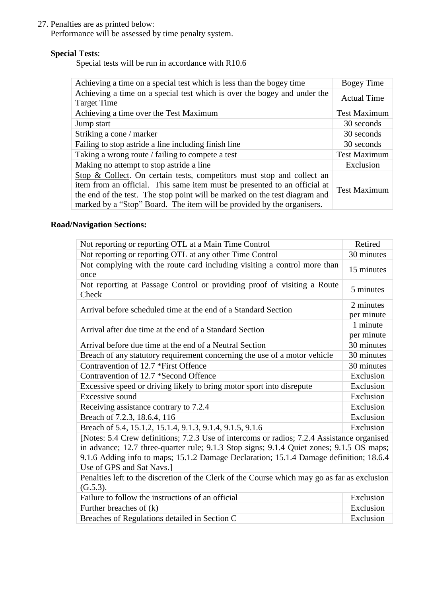#### 27. Penalties are as printed below:

Performance will be assessed by time penalty system.

#### **Special Tests**:

Special tests will be run in accordance with R10.6

| Achieving a time on a special test which is less than the bogey time                                                                                                                                                                                                                                        | <b>Bogey Time</b>   |
|-------------------------------------------------------------------------------------------------------------------------------------------------------------------------------------------------------------------------------------------------------------------------------------------------------------|---------------------|
| Achieving a time on a special test which is over the bogey and under the<br><b>Target Time</b>                                                                                                                                                                                                              | <b>Actual Time</b>  |
| Achieving a time over the Test Maximum                                                                                                                                                                                                                                                                      | <b>Test Maximum</b> |
| Jump start                                                                                                                                                                                                                                                                                                  | 30 seconds          |
| Striking a cone / marker                                                                                                                                                                                                                                                                                    | 30 seconds          |
| Failing to stop astride a line including finish line                                                                                                                                                                                                                                                        | 30 seconds          |
| Taking a wrong route / failing to compete a test                                                                                                                                                                                                                                                            | <b>Test Maximum</b> |
| Making no attempt to stop astride a line.                                                                                                                                                                                                                                                                   | Exclusion           |
| Stop & Collect. On certain tests, competitors must stop and collect an<br>item from an official. This same item must be presented to an official at<br>the end of the test. The stop point will be marked on the test diagram and<br>marked by a "Stop" Board. The item will be provided by the organisers. | <b>Test Maximum</b> |

#### **Road/Navigation Sections:**

| Not reporting or reporting OTL at a Main Time Control                                                               | Retired                 |  |
|---------------------------------------------------------------------------------------------------------------------|-------------------------|--|
| Not reporting or reporting OTL at any other Time Control                                                            | 30 minutes              |  |
| Not complying with the route card including visiting a control more than<br>once                                    | 15 minutes              |  |
| Not reporting at Passage Control or providing proof of visiting a Route<br>Check                                    | 5 minutes               |  |
| Arrival before scheduled time at the end of a Standard Section                                                      | 2 minutes<br>per minute |  |
| Arrival after due time at the end of a Standard Section                                                             | 1 minute<br>per minute  |  |
| Arrival before due time at the end of a Neutral Section                                                             | 30 minutes              |  |
| Breach of any statutory requirement concerning the use of a motor vehicle                                           | 30 minutes              |  |
| Contravention of 12.7 *First Offence                                                                                | 30 minutes              |  |
| Contravention of 12.7 *Second Offence                                                                               | Exclusion               |  |
| Excessive speed or driving likely to bring motor sport into disrepute                                               | Exclusion               |  |
| Excessive sound                                                                                                     | Exclusion               |  |
| Receiving assistance contrary to 7.2.4                                                                              | Exclusion               |  |
| Breach of 7.2.3, 18.6.4, 116                                                                                        | Exclusion               |  |
| Breach of 5.4, 15.1.2, 15.1.4, 9.1.3, 9.1.4, 9.1.5, 9.1.6                                                           | Exclusion               |  |
| [Notes: 5.4 Crew definitions; 7.2.3 Use of intercoms or radios; 7.2.4 Assistance organised                          |                         |  |
| in advance; 12.7 three-quarter rule; 9.1.3 Stop signs; 9.1.4 Quiet zones; 9.1.5 OS maps;                            |                         |  |
| 9.1.6 Adding info to maps; 15.1.2 Damage Declaration; 15.1.4 Damage definition; 18.6.4<br>Use of GPS and Sat Navs.] |                         |  |
| Penalties left to the discretion of the Clerk of the Course which may go as far as exclusion                        |                         |  |
| (G.5.3).                                                                                                            |                         |  |
| Failure to follow the instructions of an official                                                                   | Exclusion               |  |
| Further breaches of (k)                                                                                             | Exclusion               |  |
| Breaches of Regulations detailed in Section C                                                                       | Exclusion               |  |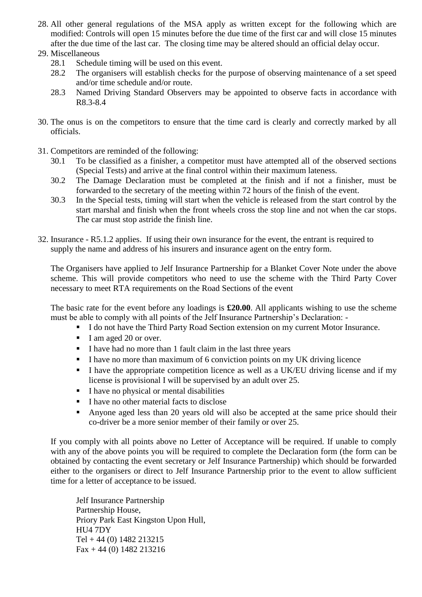- 28. All other general regulations of the MSA apply as written except for the following which are modified: Controls will open 15 minutes before the due time of the first car and will close 15 minutes after the due time of the last car. The closing time may be altered should an official delay occur.
- 29. Miscellaneous
	- 28.1 Schedule timing will be used on this event.
	- 28.2 The organisers will establish checks for the purpose of observing maintenance of a set speed and/or time schedule and/or route.
	- 28.3 Named Driving Standard Observers may be appointed to observe facts in accordance with R8.3-8.4
- 30. The onus is on the competitors to ensure that the time card is clearly and correctly marked by all officials.
- 31. Competitors are reminded of the following:
	- 30.1 To be classified as a finisher, a competitor must have attempted all of the observed sections (Special Tests) and arrive at the final control within their maximum lateness.
	- 30.2 The Damage Declaration must be completed at the finish and if not a finisher, must be forwarded to the secretary of the meeting within 72 hours of the finish of the event.
	- 30.3 In the Special tests, timing will start when the vehicle is released from the start control by the start marshal and finish when the front wheels cross the stop line and not when the car stops. The car must stop astride the finish line.
- 32. Insurance R5.1.2 applies. If using their own insurance for the event, the entrant is required to supply the name and address of his insurers and insurance agent on the entry form.

The Organisers have applied to Jelf Insurance Partnership for a Blanket Cover Note under the above scheme. This will provide competitors who need to use the scheme with the Third Party Cover necessary to meet RTA requirements on the Road Sections of the event

The basic rate for the event before any loadings is **£20.00**. All applicants wishing to use the scheme must be able to comply with all points of the Jelf Insurance Partnership's Declaration: -

- I do not have the Third Party Road Section extension on my current Motor Insurance.
- I am aged 20 or over.
- I have had no more than 1 fault claim in the last three years
- I have no more than maximum of 6 conviction points on my UK driving licence
- I have the appropriate competition licence as well as a UK/EU driving license and if my license is provisional I will be supervised by an adult over 25.
- I have no physical or mental disabilities
- $\blacksquare$  I have no other material facts to disclose
- Anyone aged less than 20 years old will also be accepted at the same price should their co-driver be a more senior member of their family or over 25.

If you comply with all points above no Letter of Acceptance will be required. If unable to comply with any of the above points you will be required to complete the Declaration form (the form can be obtained by contacting the event secretary or Jelf Insurance Partnership) which should be forwarded either to the organisers or direct to Jelf Insurance Partnership prior to the event to allow sufficient time for a letter of acceptance to be issued.

Jelf Insurance Partnership Partnership House, Priory Park East Kingston Upon Hull, HU4 7DY  $Tel + 44 (0) 1482 213215$  $Fax + 44 (0) 1482 213216$